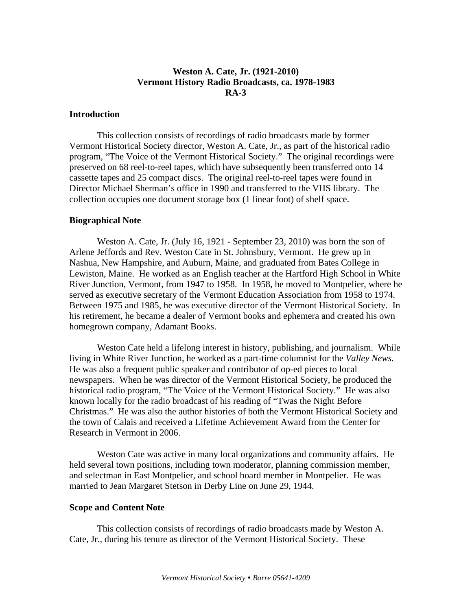# **Weston A. Cate, Jr. (1921-2010) Vermont History Radio Broadcasts, ca. 1978-1983 RA-3**

## **Introduction**

 This collection consists of recordings of radio broadcasts made by former Vermont Historical Society director, Weston A. Cate, Jr., as part of the historical radio program, "The Voice of the Vermont Historical Society." The original recordings were preserved on 68 reel-to-reel tapes, which have subsequently been transferred onto 14 cassette tapes and 25 compact discs. The original reel-to-reel tapes were found in Director Michael Sherman's office in 1990 and transferred to the VHS library. The collection occupies one document storage box (1 linear foot) of shelf space.

#### **Biographical Note**

 Weston A. Cate, Jr. (July 16, 1921 - September 23, 2010) was born the son of Arlene Jeffords and Rev. Weston Cate in St. Johnsbury, Vermont. He grew up in Nashua, New Hampshire, and Auburn, Maine, and graduated from Bates College in Lewiston, Maine. He worked as an English teacher at the Hartford High School in White River Junction, Vermont, from 1947 to 1958. In 1958, he moved to Montpelier, where he served as executive secretary of the Vermont Education Association from 1958 to 1974. Between 1975 and 1985, he was executive director of the Vermont Historical Society. In his retirement, he became a dealer of Vermont books and ephemera and created his own homegrown company, Adamant Books.

 Weston Cate held a lifelong interest in history, publishing, and journalism. While living in White River Junction, he worked as a part-time columnist for the *Valley News.*  He was also a frequent public speaker and contributor of op-ed pieces to local newspapers. When he was director of the Vermont Historical Society, he produced the historical radio program, "The Voice of the Vermont Historical Society." He was also known locally for the radio broadcast of his reading of "Twas the Night Before Christmas." He was also the author histories of both the Vermont Historical Society and the town of Calais and received a Lifetime Achievement Award from the Center for Research in Vermont in 2006.

 Weston Cate was active in many local organizations and community affairs. He held several town positions, including town moderator, planning commission member, and selectman in East Montpelier, and school board member in Montpelier. He was married to Jean Margaret Stetson in Derby Line on June 29, 1944.

# **Scope and Content Note**

 This collection consists of recordings of radio broadcasts made by Weston A. Cate, Jr., during his tenure as director of the Vermont Historical Society. These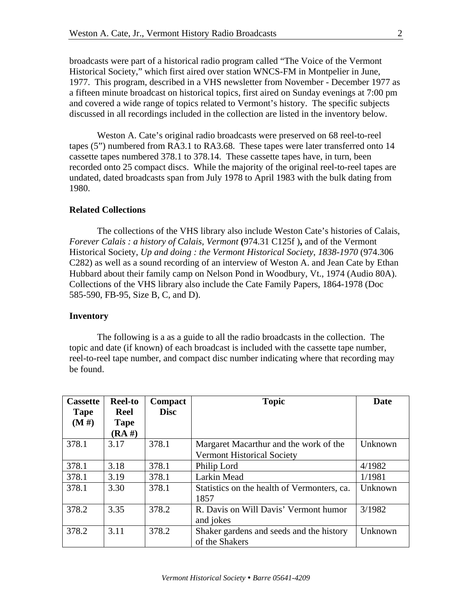broadcasts were part of a historical radio program called "The Voice of the Vermont Historical Society," which first aired over station WNCS-FM in Montpelier in June, 1977. This program, described in a VHS newsletter from November - December 1977 as a fifteen minute broadcast on historical topics, first aired on Sunday evenings at 7:00 pm and covered a wide range of topics related to Vermont's history. The specific subjects discussed in all recordings included in the collection are listed in the inventory below.

 Weston A. Cate's original radio broadcasts were preserved on 68 reel-to-reel tapes (5") numbered from RA3.1 to RA3.68. These tapes were later transferred onto 14 cassette tapes numbered 378.1 to 378.14. These cassette tapes have, in turn, been recorded onto 25 compact discs. While the majority of the original reel-to-reel tapes are undated, dated broadcasts span from July 1978 to April 1983 with the bulk dating from 1980.

# **Related Collections**

The collections of the VHS library also include Weston Cate's histories of Calais, *Forever Calais : a history of Calais, Vermont* **(**974.31 C125f )**,** and of the Vermont Historical Society, *Up and doing : the Vermont Historical Society*, *1838-1970* (974.306 C282) as well as a sound recording of an interview of Weston A. and Jean Cate by Ethan Hubbard about their family camp on Nelson Pond in Woodbury, Vt., 1974 (Audio 80A). Collections of the VHS library also include the Cate Family Papers, 1864-1978 (Doc 585-590, FB-95, Size B, C, and D).

## **Inventory**

 The following is a as a guide to all the radio broadcasts in the collection. The topic and date (if known) of each broadcast is included with the cassette tape number, reel-to-reel tape number, and compact disc number indicating where that recording may be found.

| <b>Cassette</b> | <b>Reel-to</b> | Compact     | <b>Topic</b>                                | Date    |
|-----------------|----------------|-------------|---------------------------------------------|---------|
| <b>Tape</b>     | <b>Reel</b>    | <b>Disc</b> |                                             |         |
| (M#)            | <b>Tape</b>    |             |                                             |         |
|                 | $(RA \#)$      |             |                                             |         |
| 378.1           | 3.17           | 378.1       | Margaret Macarthur and the work of the      | Unknown |
|                 |                |             | <b>Vermont Historical Society</b>           |         |
| 378.1           | 3.18           | 378.1       | Philip Lord                                 | 4/1982  |
| 378.1           | 3.19           | 378.1       | Larkin Mead                                 | 1/1981  |
| 378.1           | 3.30           | 378.1       | Statistics on the health of Vermonters, ca. | Unknown |
|                 |                |             | 1857                                        |         |
| 378.2           | 3.35           | 378.2       | R. Davis on Will Davis' Vermont humor       | 3/1982  |
|                 |                |             | and jokes                                   |         |
| 378.2           | 3.11           | 378.2       | Shaker gardens and seeds and the history    | Unknown |
|                 |                |             | of the Shakers                              |         |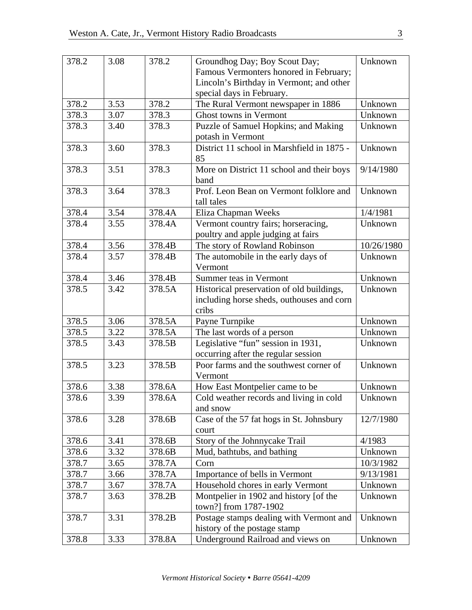| 378.2 | 3.08 | 378.2  | Groundhog Day; Boy Scout Day;                                           | Unknown    |
|-------|------|--------|-------------------------------------------------------------------------|------------|
|       |      |        | Famous Vermonters honored in February;                                  |            |
|       |      |        | Lincoln's Birthday in Vermont; and other                                |            |
|       |      |        | special days in February.                                               |            |
| 378.2 | 3.53 | 378.2  | The Rural Vermont newspaper in 1886                                     | Unknown    |
| 378.3 | 3.07 | 378.3  | Ghost towns in Vermont                                                  | Unknown    |
| 378.3 | 3.40 | 378.3  | Puzzle of Samuel Hopkins; and Making                                    | Unknown    |
|       |      |        | potash in Vermont                                                       |            |
| 378.3 | 3.60 | 378.3  | District 11 school in Marshfield in 1875 -<br>85                        | Unknown    |
| 378.3 | 3.51 | 378.3  | More on District 11 school and their boys<br>band                       | 9/14/1980  |
| 378.3 | 3.64 | 378.3  | Prof. Leon Bean on Vermont folklore and                                 | Unknown    |
|       |      |        | tall tales                                                              |            |
| 378.4 | 3.54 | 378.4A | Eliza Chapman Weeks                                                     | 1/4/1981   |
| 378.4 | 3.55 | 378.4A | Vermont country fairs; horseracing,                                     | Unknown    |
|       |      |        | poultry and apple judging at fairs                                      |            |
| 378.4 | 3.56 | 378.4B | The story of Rowland Robinson                                           | 10/26/1980 |
| 378.4 | 3.57 | 378.4B | The automobile in the early days of                                     | Unknown    |
|       |      |        | Vermont                                                                 |            |
| 378.4 | 3.46 | 378.4B | Summer teas in Vermont                                                  | Unknown    |
| 378.5 | 3.42 | 378.5A | Historical preservation of old buildings,                               | Unknown    |
|       |      |        | including horse sheds, outhouses and corn                               |            |
|       |      |        | cribs                                                                   |            |
| 378.5 | 3.06 | 378.5A | Payne Turnpike                                                          | Unknown    |
| 378.5 | 3.22 | 378.5A | The last words of a person                                              | Unknown    |
| 378.5 | 3.43 | 378.5B | Legislative "fun" session in 1931,                                      | Unknown    |
|       |      |        | occurring after the regular session                                     |            |
| 378.5 | 3.23 | 378.5B | Poor farms and the southwest corner of                                  | Unknown    |
|       |      |        | Vermont                                                                 |            |
| 378.6 | 3.38 | 378.6A | How East Montpelier came to be                                          | Unknown    |
| 378.6 | 3.39 | 378.6A | Cold weather records and living in cold<br>and snow                     | Unknown    |
| 378.6 | 3.28 | 378.6B | Case of the 57 fat hogs in St. Johnsbury                                | 12/7/1980  |
|       |      |        | court                                                                   |            |
| 378.6 | 3.41 | 378.6B | Story of the Johnnycake Trail                                           | 4/1983     |
| 378.6 | 3.32 | 378.6B | Mud, bathtubs, and bathing                                              | Unknown    |
| 378.7 | 3.65 | 378.7A | Corn                                                                    | 10/3/1982  |
| 378.7 | 3.66 | 378.7A | Importance of bells in Vermont                                          | 9/13/1981  |
| 378.7 | 3.67 | 378.7A | Household chores in early Vermont                                       | Unknown    |
| 378.7 | 3.63 | 378.2B | Montpelier in 1902 and history [of the<br>town?] from 1787-1902         | Unknown    |
| 378.7 | 3.31 | 378.2B | Postage stamps dealing with Vermont and<br>history of the postage stamp | Unknown    |
| 378.8 | 3.33 | 378.8A | Underground Railroad and views on                                       | Unknown    |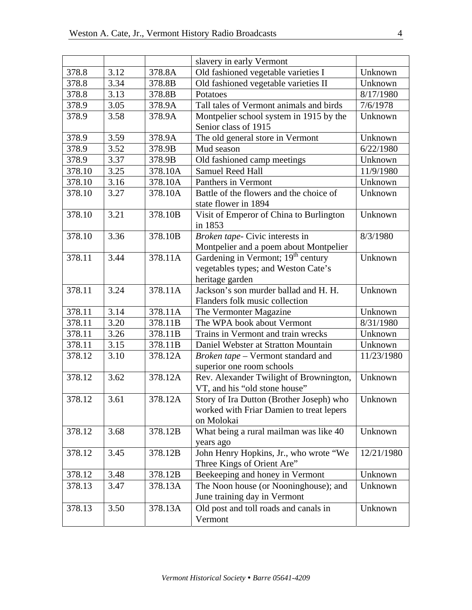|        |      |         | slavery in early Vermont                       |            |
|--------|------|---------|------------------------------------------------|------------|
| 378.8  | 3.12 | 378.8A  | Old fashioned vegetable varieties I            | Unknown    |
| 378.8  | 3.34 | 378.8B  | Old fashioned vegetable varieties II           | Unknown    |
| 378.8  | 3.13 | 378.8B  | Potatoes                                       | 8/17/1980  |
| 378.9  | 3.05 | 378.9A  | Tall tales of Vermont animals and birds        | 7/6/1978   |
| 378.9  | 3.58 | 378.9A  | Montpelier school system in 1915 by the        | Unknown    |
|        |      |         | Senior class of 1915                           |            |
| 378.9  | 3.59 | 378.9A  | The old general store in Vermont               | Unknown    |
| 378.9  | 3.52 | 378.9B  | Mud season                                     | 6/22/1980  |
| 378.9  | 3.37 | 378.9B  | Old fashioned camp meetings                    | Unknown    |
| 378.10 | 3.25 | 378.10A | <b>Samuel Reed Hall</b>                        | 11/9/1980  |
| 378.10 | 3.16 | 378.10A | Panthers in Vermont                            | Unknown    |
| 378.10 | 3.27 | 378.10A | Battle of the flowers and the choice of        | Unknown    |
|        |      |         | state flower in 1894                           |            |
| 378.10 | 3.21 | 378.10B | Visit of Emperor of China to Burlington        | Unknown    |
|        |      |         | in 1853                                        |            |
| 378.10 | 3.36 | 378.10B | Broken tape- Civic interests in                | 8/3/1980   |
|        |      |         | Montpelier and a poem about Montpelier         |            |
| 378.11 | 3.44 | 378.11A | Gardening in Vermont; 19 <sup>th</sup> century | Unknown    |
|        |      |         | vegetables types; and Weston Cate's            |            |
|        |      |         | heritage garden                                |            |
| 378.11 | 3.24 | 378.11A | Jackson's son murder ballad and H. H.          | Unknown    |
|        |      |         | Flanders folk music collection                 |            |
| 378.11 | 3.14 | 378.11A | The Vermonter Magazine                         | Unknown    |
| 378.11 | 3.20 | 378.11B | The WPA book about Vermont                     | 8/31/1980  |
| 378.11 | 3.26 | 378.11B | Trains in Vermont and train wrecks             | Unknown    |
| 378.11 | 3.15 | 378.11B | Daniel Webster at Stratton Mountain            | Unknown    |
| 378.12 | 3.10 | 378.12A | Broken tape - Vermont standard and             | 11/23/1980 |
|        |      |         | superior one room schools                      |            |
| 378.12 | 3.62 | 378.12A | Rev. Alexander Twilight of Brownington,        | Unknown    |
|        |      |         | VT, and his "old stone house"                  |            |
| 378.12 | 3.61 | 378.12A | Story of Ira Dutton (Brother Joseph) who       | Unknown    |
|        |      |         | worked with Friar Damien to treat lepers       |            |
|        |      |         | on Molokai                                     |            |
| 378.12 | 3.68 | 378.12B | What being a rural mailman was like 40         | Unknown    |
|        |      |         | years ago                                      |            |
| 378.12 | 3.45 | 378.12B | John Henry Hopkins, Jr., who wrote "We         | 12/21/1980 |
|        |      |         | Three Kings of Orient Are"                     |            |
| 378.12 | 3.48 | 378.12B | Beekeeping and honey in Vermont                | Unknown    |
| 378.13 | 3.47 | 378.13A | The Noon house (or Nooninghouse); and          | Unknown    |
|        |      |         | June training day in Vermont                   |            |
| 378.13 | 3.50 | 378.13A | Old post and toll roads and canals in          | Unknown    |
|        |      |         | Vermont                                        |            |